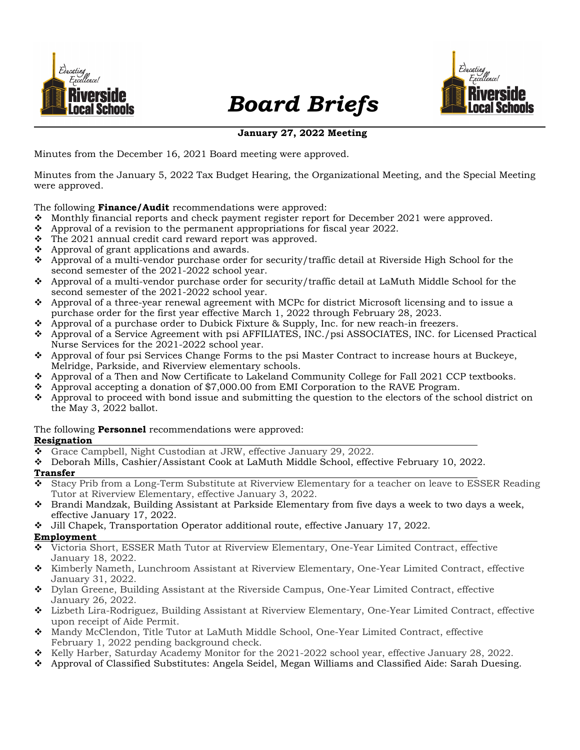

# Board Briefs



# January 27, 2022 Meeting

Minutes from the December 16, 2021 Board meeting were approved.

Minutes from the January 5, 2022 Tax Budget Hearing, the Organizational Meeting, and the Special Meeting were approved.

## The following **Finance/Audit** recommendations were approved:

- $\div$  Monthly financial reports and check payment register report for December 2021 were approved.
- $\bullet$  Approval of a revision to the permanent appropriations for fiscal year 2022.
- $\div$  The 2021 annual credit card reward report was approved.
- $\triangle$  Approval of grant applications and awards.
- Approval of a multi-vendor purchase order for security/traffic detail at Riverside High School for the second semester of the 2021-2022 school year.
- Approval of a multi-vendor purchase order for security/traffic detail at LaMuth Middle School for the second semester of the 2021-2022 school year.
- Approval of a three-year renewal agreement with MCPc for district Microsoft licensing and to issue a purchase order for the first year effective March 1, 2022 through February 28, 2023.
- $\leftrightarrow$  Approval of a purchase order to Dubick Fixture & Supply, Inc. for new reach-in freezers.
- Approval of a Service Agreement with psi AFFILIATES, INC./psi ASSOCIATES, INC. for Licensed Practical Nurse Services for the 2021-2022 school year.
- $\triangle$  Approval of four psi Services Change Forms to the psi Master Contract to increase hours at Buckeye, Melridge, Parkside, and Riverview elementary schools.
- Approval of a Then and Now Certificate to Lakeland Community College for Fall 2021 CCP textbooks.
- $\div$  Approval accepting a donation of \$7,000.00 from EMI Corporation to the RAVE Program.
- $\bullet$  Approval to proceed with bond issue and submitting the question to the electors of the school district on the May 3, 2022 ballot.

# The following **Personnel** recommendations were approved:

## Resignation

- Grace Campbell, Night Custodian at JRW, effective January 29, 2022.
- Deborah Mills, Cashier/Assistant Cook at LaMuth Middle School, effective February 10, 2022.

# Transfer<br>\* Stacy

- Stacy Prib from a Long-Term Substitute at Riverview Elementary for a teacher on leave to ESSER Reading Tutor at Riverview Elementary, effective January 3, 2022.
- Brandi Mandzak, Building Assistant at Parkside Elementary from five days a week to two days a week, effective January 17, 2022.
- Jill Chapek, Transportation Operator additional route, effective January 17, 2022.

# Employment

- Victoria Short, ESSER Math Tutor at Riverview Elementary, One-Year Limited Contract, effective January 18, 2022.
- Kimberly Nameth, Lunchroom Assistant at Riverview Elementary, One-Year Limited Contract, effective January 31, 2022.
- ◆ Dylan Greene, Building Assistant at the Riverside Campus, One-Year Limited Contract, effective January 26, 2022.
- Lizbeth Lira-Rodriguez, Building Assistant at Riverview Elementary, One-Year Limited Contract, effective upon receipt of Aide Permit.
- Mandy McClendon, Title Tutor at LaMuth Middle School, One-Year Limited Contract, effective February 1, 2022 pending background check.
- $\bullet$  Kelly Harber, Saturday Academy Monitor for the 2021-2022 school year, effective January 28, 2022.
- Approval of Classified Substitutes: Angela Seidel, Megan Williams and Classified Aide: Sarah Duesing.